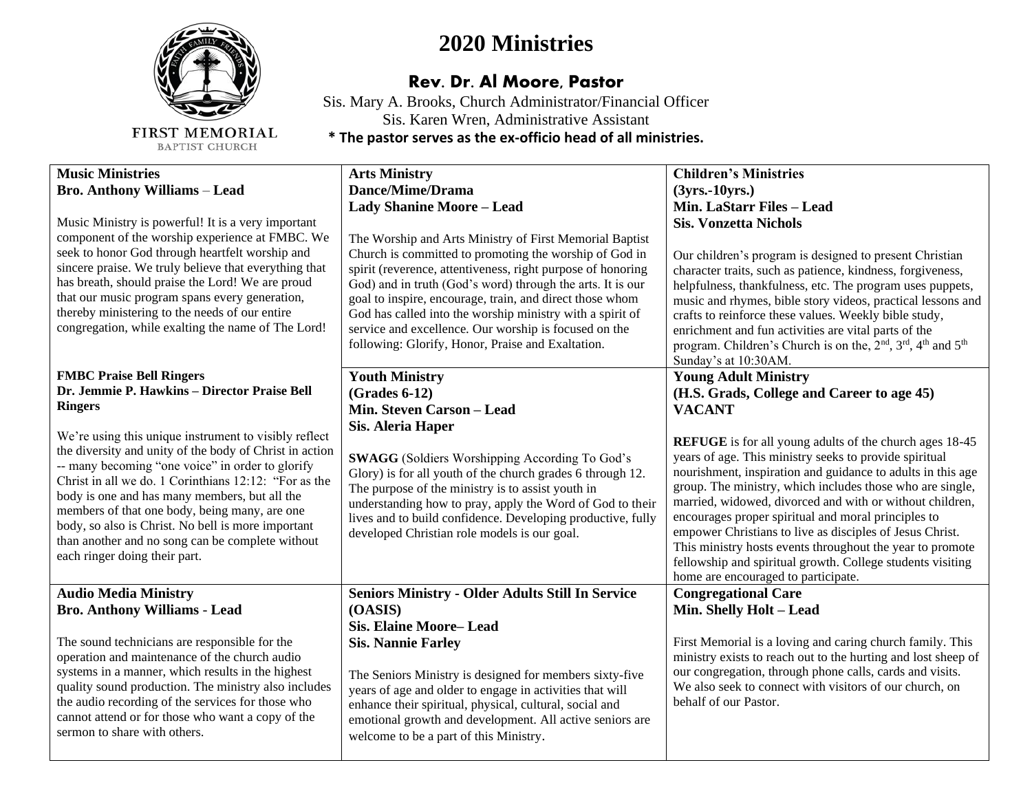

FIRST MEMORIAL BAPTIST CHURCH

## **2020 Ministries**

## **Rev. Dr. Al Moore, Pastor**

Sis. Mary A. Brooks, Church Administrator/Financial Officer Sis. Karen Wren, Administrative Assistant **\* The pastor serves as the ex-officio head of all ministries.**

| <b>Music Ministries</b><br><b>Bro. Anthony Williams - Lead</b><br>Music Ministry is powerful! It is a very important<br>component of the worship experience at FMBC. We<br>seek to honor God through heartfelt worship and<br>sincere praise. We truly believe that everything that<br>has breath, should praise the Lord! We are proud<br>that our music program spans every generation,<br>thereby ministering to the needs of our entire<br>congregation, while exalting the name of The Lord!                                                                               | <b>Arts Ministry</b><br>Dance/Mime/Drama<br><b>Lady Shanine Moore - Lead</b><br>The Worship and Arts Ministry of First Memorial Baptist<br>Church is committed to promoting the worship of God in<br>spirit (reverence, attentiveness, right purpose of honoring<br>God) and in truth (God's word) through the arts. It is our<br>goal to inspire, encourage, train, and direct those whom<br>God has called into the worship ministry with a spirit of<br>service and excellence. Our worship is focused on the<br>following: Glorify, Honor, Praise and Exaltation. | <b>Children's Ministries</b><br>$(3yrs.-10yrs.)$<br>Min. LaStarr Files - Lead<br><b>Sis. Vonzetta Nichols</b><br>Our children's program is designed to present Christian<br>character traits, such as patience, kindness, forgiveness,<br>helpfulness, thankfulness, etc. The program uses puppets,<br>music and rhymes, bible story videos, practical lessons and<br>crafts to reinforce these values. Weekly bible study,<br>enrichment and fun activities are vital parts of the<br>program. Children's Church is on the, 2 <sup>nd</sup> , 3 <sup>rd</sup> , 4 <sup>th</sup> and 5 <sup>th</sup><br>Sunday's at 10:30AM.                                                                        |
|---------------------------------------------------------------------------------------------------------------------------------------------------------------------------------------------------------------------------------------------------------------------------------------------------------------------------------------------------------------------------------------------------------------------------------------------------------------------------------------------------------------------------------------------------------------------------------|-----------------------------------------------------------------------------------------------------------------------------------------------------------------------------------------------------------------------------------------------------------------------------------------------------------------------------------------------------------------------------------------------------------------------------------------------------------------------------------------------------------------------------------------------------------------------|-----------------------------------------------------------------------------------------------------------------------------------------------------------------------------------------------------------------------------------------------------------------------------------------------------------------------------------------------------------------------------------------------------------------------------------------------------------------------------------------------------------------------------------------------------------------------------------------------------------------------------------------------------------------------------------------------------|
| <b>FMBC Praise Bell Ringers</b><br>Dr. Jemmie P. Hawkins - Director Praise Bell<br><b>Ringers</b><br>We're using this unique instrument to visibly reflect<br>the diversity and unity of the body of Christ in action<br>-- many becoming "one voice" in order to glorify<br>Christ in all we do. 1 Corinthians 12:12: "For as the<br>body is one and has many members, but all the<br>members of that one body, being many, are one<br>body, so also is Christ. No bell is more important<br>than another and no song can be complete without<br>each ringer doing their part. | <b>Youth Ministry</b><br>$(Grades 6-12)$<br>Min. Steven Carson - Lead<br>Sis. Aleria Haper<br><b>SWAGG</b> (Soldiers Worshipping According To God's<br>Glory) is for all youth of the church grades 6 through 12.<br>The purpose of the ministry is to assist youth in<br>understanding how to pray, apply the Word of God to their<br>lives and to build confidence. Developing productive, fully<br>developed Christian role models is our goal.                                                                                                                    | <b>Young Adult Ministry</b><br>(H.S. Grads, College and Career to age 45)<br><b>VACANT</b><br><b>REFUGE</b> is for all young adults of the church ages 18-45<br>years of age. This ministry seeks to provide spiritual<br>nourishment, inspiration and guidance to adults in this age<br>group. The ministry, which includes those who are single,<br>married, widowed, divorced and with or without children,<br>encourages proper spiritual and moral principles to<br>empower Christians to live as disciples of Jesus Christ.<br>This ministry hosts events throughout the year to promote<br>fellowship and spiritual growth. College students visiting<br>home are encouraged to participate. |
| <b>Audio Media Ministry</b><br><b>Bro. Anthony Williams - Lead</b><br>The sound technicians are responsible for the<br>operation and maintenance of the church audio<br>systems in a manner, which results in the highest<br>quality sound production. The ministry also includes<br>the audio recording of the services for those who<br>cannot attend or for those who want a copy of the<br>sermon to share with others.                                                                                                                                                     | <b>Seniors Ministry - Older Adults Still In Service</b><br>(OASIS)<br><b>Sis. Elaine Moore-Lead</b><br><b>Sis. Nannie Farley</b><br>The Seniors Ministry is designed for members sixty-five<br>years of age and older to engage in activities that will<br>enhance their spiritual, physical, cultural, social and<br>emotional growth and development. All active seniors are<br>welcome to be a part of this Ministry.                                                                                                                                              | <b>Congregational Care</b><br>Min. Shelly Holt - Lead<br>First Memorial is a loving and caring church family. This<br>ministry exists to reach out to the hurting and lost sheep of<br>our congregation, through phone calls, cards and visits.<br>We also seek to connect with visitors of our church, on<br>behalf of our Pastor.                                                                                                                                                                                                                                                                                                                                                                 |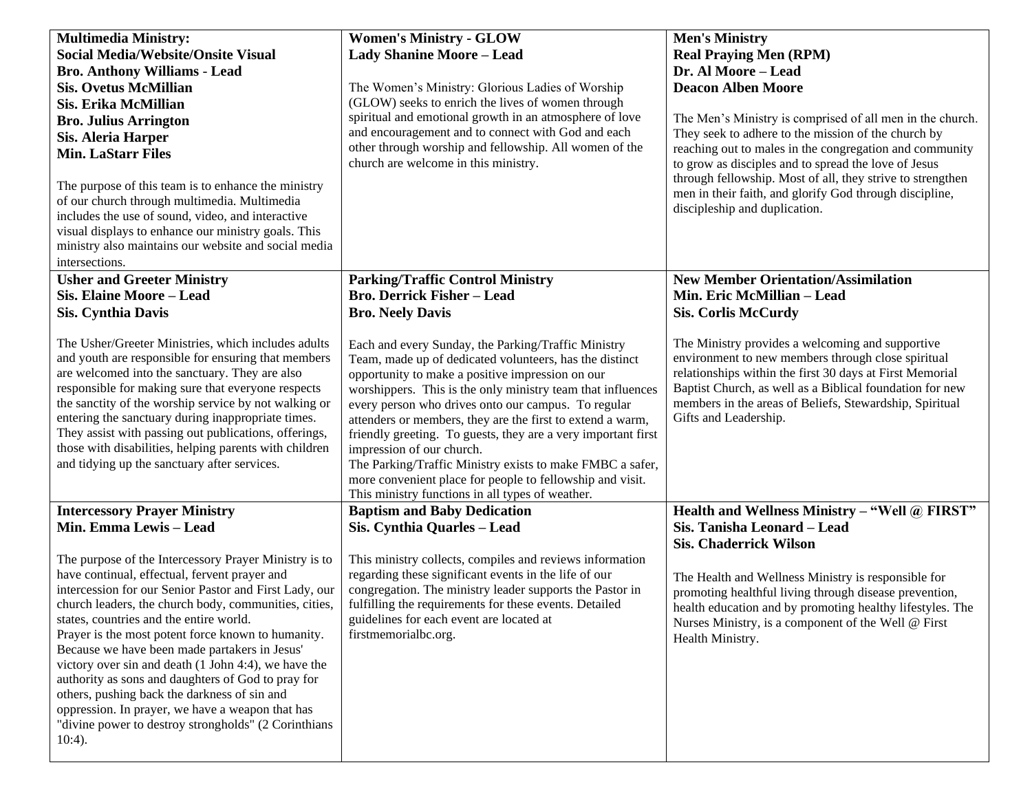| <b>Multimedia Ministry:</b><br><b>Social Media/Website/Onsite Visual</b><br><b>Bro. Anthony Williams - Lead</b><br><b>Sis. Ovetus McMillian</b><br>Sis. Erika McMillian<br><b>Bro. Julius Arrington</b><br><b>Sis. Aleria Harper</b><br><b>Min. LaStarr Files</b><br>The purpose of this team is to enhance the ministry<br>of our church through multimedia. Multimedia<br>includes the use of sound, video, and interactive<br>visual displays to enhance our ministry goals. This<br>ministry also maintains our website and social media<br>intersections.                                                                                                                                                                      | <b>Women's Ministry - GLOW</b><br><b>Lady Shanine Moore - Lead</b><br>The Women's Ministry: Glorious Ladies of Worship<br>(GLOW) seeks to enrich the lives of women through<br>spiritual and emotional growth in an atmosphere of love<br>and encouragement and to connect with God and each<br>other through worship and fellowship. All women of the<br>church are welcome in this ministry.                                                                                                                                                                                                                                                                                                                                                | <b>Men's Ministry</b><br><b>Real Praying Men (RPM)</b><br>Dr. Al Moore - Lead<br><b>Deacon Alben Moore</b><br>The Men's Ministry is comprised of all men in the church.<br>They seek to adhere to the mission of the church by<br>reaching out to males in the congregation and community<br>to grow as disciples and to spread the love of Jesus<br>through fellowship. Most of all, they strive to strengthen<br>men in their faith, and glorify God through discipline,<br>discipleship and duplication. |
|-------------------------------------------------------------------------------------------------------------------------------------------------------------------------------------------------------------------------------------------------------------------------------------------------------------------------------------------------------------------------------------------------------------------------------------------------------------------------------------------------------------------------------------------------------------------------------------------------------------------------------------------------------------------------------------------------------------------------------------|-----------------------------------------------------------------------------------------------------------------------------------------------------------------------------------------------------------------------------------------------------------------------------------------------------------------------------------------------------------------------------------------------------------------------------------------------------------------------------------------------------------------------------------------------------------------------------------------------------------------------------------------------------------------------------------------------------------------------------------------------|-------------------------------------------------------------------------------------------------------------------------------------------------------------------------------------------------------------------------------------------------------------------------------------------------------------------------------------------------------------------------------------------------------------------------------------------------------------------------------------------------------------|
| <b>Usher and Greeter Ministry</b><br><b>Sis. Elaine Moore - Lead</b><br><b>Sis. Cynthia Davis</b><br>The Usher/Greeter Ministries, which includes adults<br>and youth are responsible for ensuring that members<br>are welcomed into the sanctuary. They are also<br>responsible for making sure that everyone respects<br>the sanctity of the worship service by not walking or<br>entering the sanctuary during inappropriate times.<br>They assist with passing out publications, offerings,<br>those with disabilities, helping parents with children<br>and tidying up the sanctuary after services.                                                                                                                           | <b>Parking/Traffic Control Ministry</b><br><b>Bro. Derrick Fisher - Lead</b><br><b>Bro. Neely Davis</b><br>Each and every Sunday, the Parking/Traffic Ministry<br>Team, made up of dedicated volunteers, has the distinct<br>opportunity to make a positive impression on our<br>worshippers. This is the only ministry team that influences<br>every person who drives onto our campus. To regular<br>attenders or members, they are the first to extend a warm,<br>friendly greeting. To guests, they are a very important first<br>impression of our church.<br>The Parking/Traffic Ministry exists to make FMBC a safer,<br>more convenient place for people to fellowship and visit.<br>This ministry functions in all types of weather. | <b>New Member Orientation/Assimilation</b><br>Min. Eric McMillian - Lead<br><b>Sis. Corlis McCurdy</b><br>The Ministry provides a welcoming and supportive<br>environment to new members through close spiritual<br>relationships within the first 30 days at First Memorial<br>Baptist Church, as well as a Biblical foundation for new<br>members in the areas of Beliefs, Stewardship, Spiritual<br>Gifts and Leadership.                                                                                |
| <b>Intercessory Prayer Ministry</b><br>Min. Emma Lewis - Lead<br>The purpose of the Intercessory Prayer Ministry is to<br>have continual, effectual, fervent prayer and<br>intercession for our Senior Pastor and First Lady, our<br>church leaders, the church body, communities, cities,<br>states, countries and the entire world.<br>Prayer is the most potent force known to humanity.<br>Because we have been made partakers in Jesus'<br>victory over sin and death (1 John 4:4), we have the<br>authority as sons and daughters of God to pray for<br>others, pushing back the darkness of sin and<br>oppression. In prayer, we have a weapon that has<br>"divine power to destroy strongholds" (2 Corinthians<br>$10:4$ ). | <b>Baptism and Baby Dedication</b><br>Sis. Cynthia Quarles - Lead<br>This ministry collects, compiles and reviews information<br>regarding these significant events in the life of our<br>congregation. The ministry leader supports the Pastor in<br>fulfilling the requirements for these events. Detailed<br>guidelines for each event are located at<br>firstmemorialbc.org.                                                                                                                                                                                                                                                                                                                                                              | Health and Wellness Ministry - "Well @ FIRST"<br>Sis. Tanisha Leonard - Lead<br><b>Sis. Chaderrick Wilson</b><br>The Health and Wellness Ministry is responsible for<br>promoting healthful living through disease prevention,<br>health education and by promoting healthy lifestyles. The<br>Nurses Ministry, is a component of the Well @ First<br>Health Ministry.                                                                                                                                      |